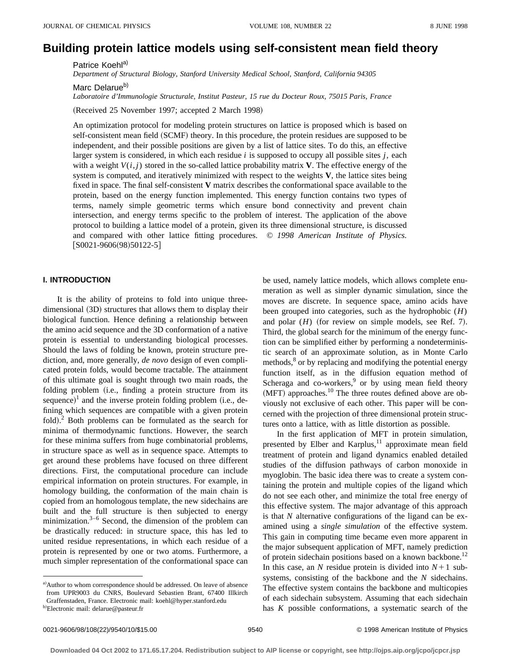# **Building protein lattice models using self-consistent mean field theory**

Patrice Koehl<sup>a)</sup>

*Department of Structural Biology, Stanford University Medical School, Stanford, California 94305*

Marc Delarue<sup>b)</sup>

*Laboratoire d'Immunologie Structurale, Institut Pasteur, 15 rue du Docteur Roux, 75015 Paris, France*

(Received 25 November 1997; accepted 2 March 1998)

An optimization protocol for modeling protein structures on lattice is proposed which is based on self-consistent mean field (SCMF) theory. In this procedure, the protein residues are supposed to be independent, and their possible positions are given by a list of lattice sites. To do this, an effective larger system is considered, in which each residue *i* is supposed to occupy all possible sites *j*, each with a weight  $V(i, j)$  stored in the so-called lattice probability matrix **V**. The effective energy of the system is computed, and iteratively minimized with respect to the weights **V**, the lattice sites being fixed in space. The final self-consistent **V** matrix describes the conformational space available to the protein, based on the energy function implemented. This energy function contains two types of terms, namely simple geometric terms which ensure bond connectivity and prevent chain intersection, and energy terms specific to the problem of interest. The application of the above protocol to building a lattice model of a protein, given its three dimensional structure, is discussed and compared with other lattice fitting procedures. © *1998 American Institute of Physics.*  $[$ S0021-9606(98)50122-5 $]$ 

# **I. INTRODUCTION**

It is the ability of proteins to fold into unique threedimensional (3D) structures that allows them to display their biological function. Hence defining a relationship between the amino acid sequence and the 3D conformation of a native protein is essential to understanding biological processes. Should the laws of folding be known, protein structure prediction, and, more generally, *de novo* design of even complicated protein folds, would become tractable. The attainment of this ultimate goal is sought through two main roads, the folding problem (i.e., finding a protein structure from its sequence)<sup>1</sup> and the inverse protein folding problem (i.e., defining which sequences are compatible with a given protein fold). $^2$  Both problems can be formulated as the search for minima of thermodynamic functions. However, the search for these minima suffers from huge combinatorial problems, in structure space as well as in sequence space. Attempts to get around these problems have focused on three different directions. First, the computational procedure can include empirical information on protein structures. For example, in homology building, the conformation of the main chain is copied from an homologous template, the new sidechains are built and the full structure is then subjected to energy minimization. $3-6$  Second, the dimension of the problem can be drastically reduced: in structure space, this has led to united residue representations, in which each residue of a protein is represented by one or two atoms. Furthermore, a much simpler representation of the conformational space can

be used, namely lattice models, which allows complete enumeration as well as simpler dynamic simulation, since the moves are discrete. In sequence space, amino acids have been grouped into categories, such as the hydrophobic (*H*) and polar  $(H)$  (for review on simple models, see Ref. 7). Third, the global search for the minimum of the energy function can be simplified either by performing a nondeterministic search of an approximate solution, as in Monte Carlo methods,<sup>8</sup> or by replacing and modifying the potential energy function itself, as in the diffusion equation method of Scheraga and co-workers, $9$  or by using mean field theory  $(MFT)$  approaches.<sup>10</sup> The three routes defined above are obviously not exclusive of each other. This paper will be concerned with the projection of three dimensional protein structures onto a lattice, with as little distortion as possible.

In the first application of MFT in protein simulation, presented by Elber and Karplus, $11$  approximate mean field treatment of protein and ligand dynamics enabled detailed studies of the diffusion pathways of carbon monoxide in myoglobin. The basic idea there was to create a system containing the protein and multiple copies of the ligand which do not see each other, and minimize the total free energy of this effective system. The major advantage of this approach is that *N* alternative configurations of the ligand can be examined using a *single simulation* of the effective system. This gain in computing time became even more apparent in the major subsequent application of MFT, namely prediction of protein sidechain positions based on a known backbone.<sup>12</sup> In this case, an *N* residue protein is divided into  $N+1$  subsystems, consisting of the backbone and the *N* sidechains. The effective system contains the backbone and multicopies of each sidechain subsystem. Assuming that each sidechain has *K* possible conformations, a systematic search of the

a) Author to whom correspondence should be addressed. On leave of absence from UPR9003 du CNRS, Boulevard Sebastien Brant, 67400 Illkirch Graffenstaden, France. Electronic mail: koehl@hyper.stanford.edu

<sup>&</sup>lt;sup>b)</sup>Electronic mail: delarue@pasteur.fr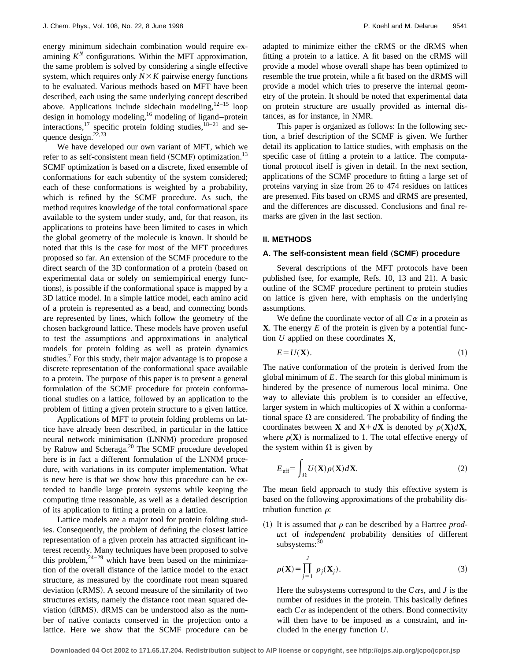energy minimum sidechain combination would require examining  $K^N$  configurations. Within the MFT approximation, the same problem is solved by considering a single effective system, which requires only  $N \times K$  pairwise energy functions to be evaluated. Various methods based on MFT have been described, each using the same underlying concept described above. Applications include sidechain modeling, $12-15$  loop design in homology modeling,<sup>16</sup> modeling of ligand–protein interactions,<sup>17</sup> specific protein folding studies, $18-21$  and sequence design. $22,23$ 

We have developed our own variant of MFT, which we refer to as self-consistent mean field  $(SCMF)$  optimization.<sup>13</sup> SCMF optimization is based on a discrete, fixed ensemble of conformations for each subentity of the system considered; each of these conformations is weighted by a probability, which is refined by the SCMF procedure. As such, the method requires knowledge of the total conformational space available to the system under study, and, for that reason, its applications to proteins have been limited to cases in which the global geometry of the molecule is known. It should be noted that this is the case for most of the MFT procedures proposed so far. An extension of the SCMF procedure to the direct search of the 3D conformation of a protein (based on experimental data or solely on semiempirical energy functions), is possible if the conformational space is mapped by a 3D lattice model. In a simple lattice model, each amino acid of a protein is represented as a bead, and connecting bonds are represented by lines, which follow the geometry of the chosen background lattice. These models have proven useful to test the assumptions and approximations in analytical models for protein folding as well as protein dynamics studies.<sup>7</sup> For this study, their major advantage is to propose a discrete representation of the conformational space available to a protein. The purpose of this paper is to present a general formulation of the SCMF procedure for protein conformational studies on a lattice, followed by an application to the problem of fitting a given protein structure to a given lattice.

Applications of MFT to protein folding problems on lattice have already been described, in particular in the lattice neural network minimisation (LNNM) procedure proposed by Rabow and Scheraga.20 The SCMF procedure developed here is in fact a different formulation of the LNNM procedure, with variations in its computer implementation. What is new here is that we show how this procedure can be extended to handle large protein systems while keeping the computing time reasonable, as well as a detailed description of its application to fitting a protein on a lattice.

Lattice models are a major tool for protein folding studies. Consequently, the problem of defining the closest lattice representation of a given protein has attracted significant interest recently. Many techniques have been proposed to solve this problem,  $2^{4-29}$  which have been based on the minimization of the overall distance of the lattice model to the exact structure, as measured by the coordinate root mean squared deviation (cRMS). A second measure of the similarity of two structures exists, namely the distance root mean squared deviation (dRMS). dRMS can be understood also as the number of native contacts conserved in the projection onto a lattice. Here we show that the SCMF procedure can be adapted to minimize either the cRMS or the dRMS when fitting a protein to a lattice. A fit based on the cRMS will provide a model whose overall shape has been optimized to resemble the true protein, while a fit based on the dRMS will provide a model which tries to preserve the internal geometry of the protein. It should be noted that experimental data on protein structure are usually provided as internal distances, as for instance, in NMR.

This paper is organized as follows: In the following section, a brief description of the SCMF is given. We further detail its application to lattice studies, with emphasis on the specific case of fitting a protein to a lattice. The computational protocol itself is given in detail. In the next section, applications of the SCMF procedure to fitting a large set of proteins varying in size from 26 to 474 residues on lattices are presented. Fits based on cRMS and dRMS are presented, and the differences are discussed. Conclusions and final remarks are given in the last section.

#### **II. METHODS**

#### A. The self-consistent mean field (SCMF) procedure

Several descriptions of the MFT protocols have been published (see, for example, Refs. 10, 13 and 21). A basic outline of the SCMF procedure pertinent to protein studies on lattice is given here, with emphasis on the underlying assumptions.

We define the coordinate vector of all  $C\alpha$  in a protein as **X**. The energy *E* of the protein is given by a potential function *U* applied on these coordinates **X**,

$$
E = U(\mathbf{X}).\tag{1}
$$

The native conformation of the protein is derived from the global minimum of *E*. The search for this global minimum is hindered by the presence of numerous local minima. One way to alleviate this problem is to consider an effective, larger system in which multicopies of **X** within a conformational space  $\Omega$  are considered. The probability of finding the coordinates between **X** and **X**+ $d$ **X** is denoted by  $\rho$ (**X**) $d$ **X**, where  $\rho(X)$  is normalized to 1. The total effective energy of the system within  $\Omega$  is given by

$$
E_{\text{eff}} = \int_{\Omega} U(\mathbf{X}) \rho(\mathbf{X}) d\mathbf{X}.
$$
 (2)

The mean field approach to study this effective system is based on the following approximations of the probability distribution function  $\rho$ :

(1) It is assumed that  $\rho$  can be described by a Hartree *product* of *independent* probability densities of different subsystems:<sup>30</sup>

$$
\rho(\mathbf{X}) = \prod_{j=1}^{J} \rho_j(\mathbf{X}_j).
$$
\n(3)

Here the subsystems correspond to the  $C\alpha s$ , and *J* is the number of residues in the protein. This basically defines each  $C\alpha$  as independent of the others. Bond connectivity will then have to be imposed as a constraint, and included in the energy function *U*.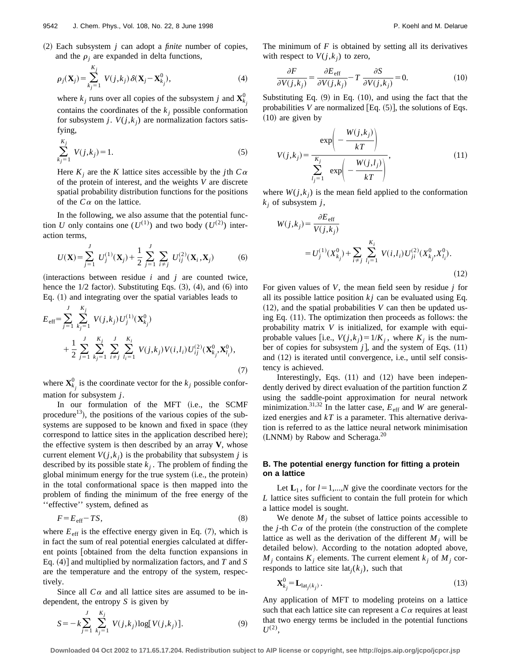$(2)$  Each subsystem *j* can adopt a *finite* number of copies, and the  $\rho_i$  are expanded in delta functions,

$$
\rho_j(\mathbf{X}_j) = \sum_{k_j=1}^{K_j} V(j,k_j) \delta(\mathbf{X}_j - \mathbf{X}_{k_j}^0),
$$
\n(4)

where  $k_j$  runs over all copies of the subsystem *j* and  $\mathbf{X}_{k_j}^0$ contains the coordinates of the  $k_i$  possible conformation for subsystem *j*.  $V(j, k_i)$  are normalization factors satisfying,

$$
\sum_{k_j=1}^{K_j} V(j,k_j) = 1.
$$
 (5)

Here  $K_i$  are the *K* lattice sites accessible by the *j*th  $C\alpha$ of the protein of interest, and the weights *V* are discrete spatial probability distribution functions for the positions of the  $C\alpha$  on the lattice.

In the following, we also assume that the potential function *U* only contains one  $(U^{(1)})$  and two body  $(U^{(2)})$  interaction terms,

$$
U(\mathbf{X}) = \sum_{j=1}^{J} U_j^{(1)}(\mathbf{X}_j) + \frac{1}{2} \sum_{j=1}^{J} \sum_{i \neq j} U_{ij}^{(2)}(\mathbf{X}_i, \mathbf{X}_j)
$$
(6)

 $(interactions between residue  $i$  and  $j$  are counted twice,$ hence the  $1/2$  factor). Substituting Eqs.  $(3)$ ,  $(4)$ , and  $(6)$  into Eq.  $(1)$  and integrating over the spatial variables leads to

$$
E_{\text{eff}} = \sum_{j=1}^{J} \sum_{k_j=1}^{K_j} V(j, k_j) U_j^{(1)}(\mathbf{X}_{k_j}^0)
$$
  
+ 
$$
\frac{1}{2} \sum_{j=1}^{J} \sum_{k_j=1}^{K_j} \sum_{i \neq j}^{J} \sum_{l_i=1}^{K_i} V(j, k_j) V(i, l_i) U_{ij}^{(2)}(\mathbf{X}_{k_j}^0, \mathbf{X}_{l_i}^0),
$$

$$
(7)
$$

where  $\mathbf{X}_{k_j}^0$  is the coordinate vector for the  $k_j$  possible conformation for subsystem *j*.

In our formulation of the MFT (i.e., the SCMF procedure<sup>13</sup>), the positions of the various copies of the subsystems are supposed to be known and fixed in space (they correspond to lattice sites in the application described here); the effective system is then described by an array **V**, whose current element  $V(j, k_j)$  is the probability that subsystem *j* is described by its possible state  $k_j$ . The problem of finding the global minimum energy for the true system  $(i.e., the protein)$ in the total conformational space is then mapped into the problem of finding the minimum of the free energy of the ''effective'' system, defined as

$$
F = E_{\text{eff}} - TS,\tag{8}
$$

where  $E_{\text{eff}}$  is the effective energy given in Eq.  $(7)$ , which is in fact the sum of real potential energies calculated at different points obtained from the delta function expansions in Eq.  $(4)$  and multiplied by normalization factors, and *T* and *S* are the temperature and the entropy of the system, respectively.

Since all  $C\alpha$  and all lattice sites are assumed to be independent, the entropy *S* is given by

$$
S = -k \sum_{j=1}^{J} \sum_{k_j=1}^{K_j} V(j, k_j) \log[V(j, k_j)].
$$
 (9)

The minimum of  $F$  is obtained by setting all its derivatives with respect to  $V(j,k_i)$  to zero,

$$
\frac{\partial F}{\partial V(j,k_j)} = \frac{\partial E_{\text{eff}}}{\partial V(j,k_j)} - T \frac{\partial S}{\partial V(j,k_j)} = 0.
$$
 (10)

Substituting Eq.  $(9)$  in Eq.  $(10)$ , and using the fact that the probabilities *V* are normalized  $[Eq. (5)]$ , the solutions of Eqs.  $(10)$  are given by

$$
V(j,k_j) = \frac{\exp\left(-\frac{W(j,k_j)}{kT}\right)}{\sum_{l_j=1}^{K_j} \exp\left(-\frac{W(j,l_j)}{kT}\right)},
$$
\n(11)

where  $W(j, k_j)$  is the mean field applied to the conformation  $k_i$  of subsystem  $j$ ,

$$
W(j,k_j) = \frac{\partial E_{\text{eff}}}{V(j,k_j)}
$$
  
=  $U_j^{(1)}(X_{k_j}^0) + \sum_{i \neq j} \sum_{l_i=1}^{K_i} V(i,l_i) U_{ji}^{(2)}(X_{k_j}^0, X_{l_i}^0).$  (12)

For given values of *V*, the mean field seen by residue *j* for all its possible lattice position  $kj$  can be evaluated using Eq.  $(12)$ , and the spatial probabilities *V* can then be updated using Eq.  $(11)$ . The optimization then proceeds as follows: the probability matrix *V* is initialized, for example with equiprobable values [i.e.,  $V(j, k_j) = 1/K_j$ , where  $K_j$  is the number of copies for subsystem  $j$ , and the system of Eqs.  $(11)$ and (12) is iterated until convergence, i.e., until self consistency is achieved.

Interestingly, Eqs.  $(11)$  and  $(12)$  have been independently derived by direct evaluation of the partition function *Z* using the saddle-point approximation for neural network minimization.<sup>31,32</sup> In the latter case,  $E_{\text{eff}}$  and *W* are generalized energies and  $kT$  is a parameter. This alternative derivation is referred to as the lattice neural network minimisation (LNNM) by Rabow and Scheraga. $^{20}$ 

# **B. The potential energy function for fitting a protein on a lattice**

Let  $\mathbf{L}_1$ , for  $l=1,...,N$  give the coordinate vectors for the *L* lattice sites sufficient to contain the full protein for which a lattice model is sought.

We denote  $M_i$  the subset of lattice points accessible to the *j*-th  $C\alpha$  of the protein (the construction of the complete lattice as well as the derivation of the different  $M_i$  will be detailed below). According to the notation adopted above,  $M_i$  contains  $K_i$  elements. The current element  $k_i$  of  $M_i$  corresponds to lattice site lat<sub>*j*</sub>( $k_j$ ), such that

$$
\mathbf{X}_{k_j}^0 = \mathbf{L}_{\text{lat}_j(k_j)}\,. \tag{13}
$$

Any application of MFT to modeling proteins on a lattice such that each lattice site can represent a  $C\alpha$  requires at least that two energy terms be included in the potential functions  $U^{(2)}$ ,

**Downloaded 04 Oct 2002 to 171.65.17.204. Redistribution subject to AIP license or copyright, see http://ojps.aip.org/jcpo/jcpcr.jsp**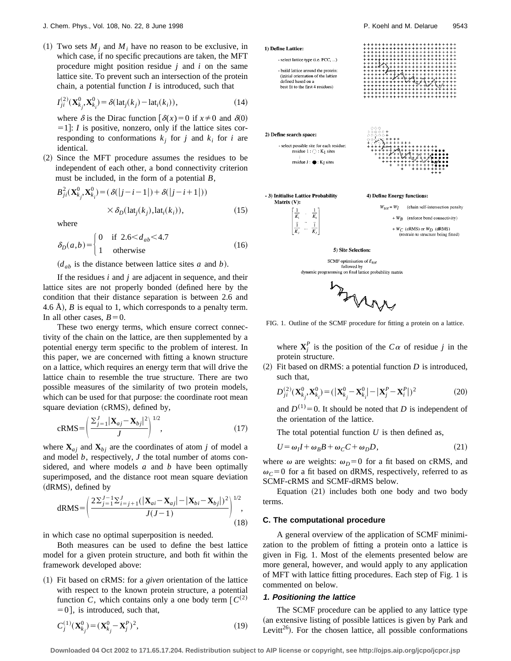(1) Two sets  $M_i$  and  $M_i$  have no reason to be exclusive, in which case, if no specific precautions are taken, the MFT procedure might position residue *j* and *i* on the same lattice site. To prevent such an intersection of the protein chain, a potential function *I* is introduced, such that

$$
I_{ji}^{(2)}(\mathbf{X}_{k_j}^0, \mathbf{X}_{k_i}^0) = \delta(\text{lat}_j(k_j) - \text{lat}_i(k_i)),
$$
\n(14)

where  $\delta$  is the Dirac function  $\delta(x)=0$  if  $x\neq0$  and  $\delta(0)$  $=1$ : *I* is positive, nonzero, only if the lattice sites corresponding to conformations  $k_i$  for *j* and  $k_i$  for *i* are identical.

~2! Since the MFT procedure assumes the residues to be independent of each other, a bond connectivity criterion must be included, in the form of a potential *B*,

$$
B_{ji}^2(\mathbf{X}_{k_j}^0, \mathbf{X}_{k_i}^0) = (\delta(|j-i-1|) + \delta(|j-i+1|))
$$
  
 
$$
\times \delta_D(\text{lat}_j(k_j), \text{lat}_i(k_i)), \tag{15}
$$

where

$$
\delta_D(a,b) = \begin{cases}\n0 & \text{if } 2.6 < d_{ab} < 4.7 \\
1 & \text{otherwise}\n\end{cases}
$$
\n(16)

 $(d_{ab}$  is the distance between lattice sites *a* and *b*).

If the residues *i* and *j* are adjacent in sequence, and their lattice sites are not properly bonded (defined here by the condition that their distance separation is between 2.6 and 4.6 Å),  $\hat{B}$  is equal to 1, which corresponds to a penalty term. In all other cases,  $B=0$ .

These two energy terms, which ensure correct connectivity of the chain on the lattice, are then supplemented by a potential energy term specific to the problem of interest. In this paper, we are concerned with fitting a known structure on a lattice, which requires an energy term that will drive the lattice chain to resemble the true structure. There are two possible measures of the similarity of two protein models, which can be used for that purpose: the coordinate root mean square deviation (cRMS), defined by,

$$
cRMS = \left(\frac{\sum_{j=1}^{J} |\mathbf{X}_{aj} - \mathbf{X}_{bj}|^2}{J}\right)^{1/2},
$$
\n(17)

where  $\mathbf{X}_{ai}$  and  $\mathbf{X}_{bi}$  are the coordinates of atom *j* of model a and model *b*, respectively, *J* the total number of atoms considered, and where models *a* and *b* have been optimally superimposed, and the distance root mean square deviation (dRMS), defined by

dRMS = 
$$
\left(\frac{2\sum_{j=1}^{J-1}\sum_{i=j+1}^{J}(|\mathbf{X}_{ai} - \mathbf{X}_{aj}| - |\mathbf{X}_{bi} - \mathbf{X}_{bj}|)^2}{J(J-1)}\right)^{1/2}
$$
, (18)

in which case no optimal superposition is needed.

Both measures can be used to define the best lattice model for a given protein structure, and both fit within the framework developed above:

~1! Fit based on cRMS: for a *given* orientation of the lattice with respect to the known protein structure, a potential function *C*, which contains only a one body term  $\left[ C^{(2)} \right]$  $[60]$ , is introduced, such that,

$$
C_j^{(1)}(\mathbf{X}_{k_j}^0) = (\mathbf{X}_{k_j}^0 - \mathbf{X}_j^P)^2,
$$
\n(19)



SCMF optimisation of  $E_{tot}$ <br>followed by dynamic programming on final lattice probability matrix



FIG. 1. Outline of the SCMF procedure for fitting a protein on a lattice.

where  $X_j^P$  is the position of the  $C\alpha$  of residue *j* in the protein structure.

 $(2)$  Fit based on dRMS: a potential function *D* is introduced, such that,

$$
D_{ji}^{(2)}(\mathbf{X}_{k_j}^0, \mathbf{X}_{k_i}^0) = (|\mathbf{X}_{k_j}^0 - \mathbf{X}_{k_i}^0| - |\mathbf{X}_j^P - \mathbf{X}_i^P|)^2
$$
 (20)

and  $D^{(1)}=0$ . It should be noted that *D* is independent of the orientation of the lattice.

The total potential function  $U$  is then defined as,

$$
U = \omega_I I + \omega_B B + \omega_C C + \omega_D D, \qquad (21)
$$

where  $\omega$  are weights:  $\omega_D=0$  for a fit based on cRMS, and  $\omega_c$ =0 for a fit based on dRMS, respectively, referred to as SCMF-cRMS and SCMF-dRMS below.

Equation  $(21)$  includes both one body and two body terms.

#### **C. The computational procedure**

A general overview of the application of SCMF minimization to the problem of fitting a protein onto a lattice is given in Fig. 1. Most of the elements presented below are more general, however, and would apply to any application of MFT with lattice fitting procedures. Each step of Fig. 1 is commented on below.

#### **1. Positioning the lattice**

The SCMF procedure can be applied to any lattice type (an extensive listing of possible lattices is given by Park and Levitt<sup>26</sup>). For the chosen lattice, all possible conformations

**Downloaded 04 Oct 2002 to 171.65.17.204. Redistribution subject to AIP license or copyright, see http://ojps.aip.org/jcpo/jcpcr.jsp**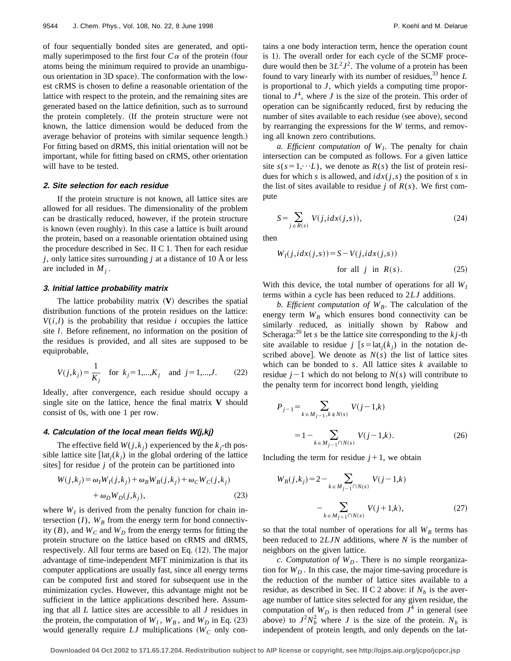of four sequentially bonded sites are generated, and optimally superimposed to the first four  $C\alpha$  of the protein (four atoms being the minimum required to provide an unambiguous orientation in 3D space). The conformation with the lowest cRMS is chosen to define a reasonable orientation of the lattice with respect to the protein, and the remaining sites are generated based on the lattice definition, such as to surround the protein completely. (If the protein structure were not known, the lattice dimension would be deduced from the average behavior of proteins with similar sequence length.) For fitting based on dRMS, this initial orientation will not be important, while for fitting based on cRMS, other orientation will have to be tested.

#### **2. Site selection for each residue**

If the protein structure is not known, all lattice sites are allowed for all residues. The dimensionality of the problem can be drastically reduced, however, if the protein structure is known (even roughly). In this case a lattice is built around the protein, based on a reasonable orientation obtained using the procedure described in Sec. II C 1. Then for each residue *j*, only lattice sites surrounding *j* at a distance of 10 Å or less are included in  $M_i$ .

#### **3. Initial lattice probability matrix**

The lattice probability matrix  $(V)$  describes the spatial distribution functions of the protein residues on the lattice:  $V(i,l)$  is the probability that residue *i* occupies the lattice site *l*. Before refinement, no information on the position of the residues is provided, and all sites are supposed to be equiprobable,

$$
V(j,k_j) = \frac{1}{K_j} \quad \text{for } k_j = 1,...,K_j \quad \text{and } j = 1,...,J. \tag{22}
$$

Ideally, after convergence, each residue should occupy a single site on the lattice, hence the final matrix **V** should consist of 0s, with one 1 per row.

#### **4. Calculation of the local mean fields W(j,kj)**

The effective field  $W(j, k_j)$  experienced by the  $k_j$ -th possible lattice site  $[\text{lat}_i(k_i)]$  in the global ordering of the lattice sites] for residue  $j$  of the protein can be partitioned into

$$
W(j,k_j) = \omega_I W_I(j,k_j) + \omega_B W_B(j,k_j) + \omega_C W_C(j,k_j)
$$
  
+  $\omega_D W_D(j,k_j)$ , (23)

where  $W_I$  is derived from the penalty function for chain intersection  $(I)$ ,  $W_B$  from the energy term for bond connectivity  $(B)$ , and  $W_C$  and  $W_D$  from the energy terms for fitting the protein structure on the lattice based on cRMS and dRMS, respectively. All four terms are based on Eq.  $(12)$ . The major advantage of time-independent MFT minimization is that its computer applications are usually fast, since all energy terms can be computed first and stored for subsequent use in the minimization cycles. However, this advantage might not be sufficient in the lattice applications described here. Assuming that all *L* lattice sites are accessible to all *J* residues in the protein, the computation of  $W_I$ ,  $W_B$ , and  $W_D$  in Eq. (23) would generally require  $LJ$  multiplications ( $W_C$  only contains a one body interaction term, hence the operation count is 1). The overall order for each cycle of the SCMF procedure would then be  $3L^2J^2$ . The volume of a protein has been found to vary linearly with its number of residues,<sup>33</sup> hence *L* is proportional to *J*, which yields a computing time proportional to  $J<sup>4</sup>$ , where *J* is the size of the protein. This order of operation can be significantly reduced, first by reducing the number of sites available to each residue (see above), second by rearranging the expressions for the *W* terms, and removing all known zero contributions.

*a. Efficient computation of*  $W_I$ . The penalty for chain intersection can be computed as follows. For a given lattice site  $s(s=1,\dots L)$ , we denote as  $R(s)$  the list of protein residues for which *s* is allowed, and  $idx(j,s)$  the position of *s* in the list of sites available to residue *j* of  $R(s)$ . We first compute

$$
S = \sum_{j \in R(s)} V(j, idx(j, s)),\tag{24}
$$

then

$$
W_I(j, idx(j, s)) = S - V(j, idx(j, s))
$$
  
for all j in  $R(s)$ . (25)

With this device, the total number of operations for all  $W_I$ terms within a cycle has been reduced to 2*LJ* additions.

*b. Efficient computation of*  $W_B$ . The calculation of the energy term  $W_B$  which ensures bond connectivity can be similarly reduced, as initially shown by Rabow and Scheraga:<sup>20</sup> let *s* be the lattice site corresponding to the  $kj$ -th site available to residue  $j$  [ $s = lat<sub>i</sub>(k<sub>i</sub>)$  in the notation described above]. We denote as  $N(s)$  the list of lattice sites which can be bonded to *s*. All lattice sites *k* available to residue  $j-1$  which do not belong to  $N(s)$  will contribute to the penalty term for incorrect bond length, yielding

$$
P_{j-1} = \sum_{k \in M_{j-1}, k \in N(s)} V(j-1,k)
$$
  
= 
$$
1 - \sum_{k \in M_{j-1} \cap N(s)} V(j-1,k).
$$
 (26)

Including the term for residue  $j+1$ , we obtain

$$
W_B(j,k_j) = 2 - \sum_{k \in M_{j-1} \cap N(s)} V(j-1,k)
$$

$$
- \sum_{k \in M_{j+1} \cap N(s)} V(j+1,k), \qquad (27)
$$

so that the total number of operations for all  $W_B$  terms has been reduced to 2*LJN* additions, where *N* is the number of neighbors on the given lattice.

*c. Computation of*  $W<sub>D</sub>$ . There is no simple reorganization for  $W<sub>D</sub>$ . In this case, the major time-saving procedure is the reduction of the number of lattice sites available to a residue, as described in Sec. II C 2 above: if  $N<sub>b</sub>$  is the average number of lattice sites selected for any given residue, the computation of  $W_D$  is then reduced from  $J^4$  in general (see above) to  $J^2 N_b^2$  where *J* is the size of the protein.  $N_b$  is independent of protein length, and only depends on the lat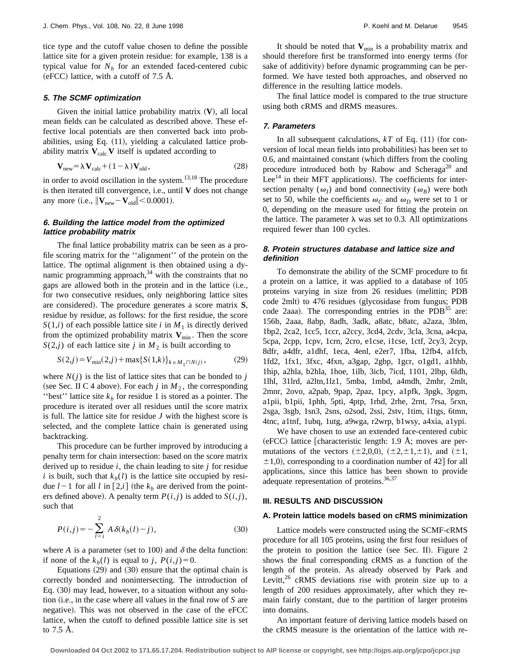tice type and the cutoff value chosen to define the possible lattice site for a given protein residue: for example, 138 is a typical value for  $N_b$  for an extended faced-centered cubic (eFCC) lattice, with a cutoff of 7.5 Å.

#### **5. The SCMF optimization**

Given the initial lattice probability matrix  $(V)$ , all local mean fields can be calculated as described above. These effective local potentials are then converted back into probabilities, using Eq.  $(11)$ , yielding a calculated lattice probability matrix  $V_{calc}$  V itself is updated according to

$$
\mathbf{V}_{\text{new}} = \lambda \mathbf{V}_{\text{calc}} + (1 - \lambda) \mathbf{V}_{\text{old}},\tag{28}
$$

in order to avoid oscillation in the system. $13,18$  The procedure is then iterated till convergence, i.e., until **V** does not change any more (i.e.,  $\|\mathbf{V}_{\text{new}} - \mathbf{V}_{\text{old}}\| \le 0.0001$ ).

# **6. Building the lattice model from the optimized lattice probability matrix**

The final lattice probability matrix can be seen as a profile scoring matrix for the ''alignment'' of the protein on the lattice. The optimal alignment is then obtained using a dynamic programming approach, $34$  with the constraints that no gaps are allowed both in the protein and in the lattice (i.e., for two consecutive residues, only neighboring lattice sites are considered). The procedure generates a score matrix **S**, residue by residue, as follows: for the first residue, the score  $S(1,i)$  of each possible lattice site *i* in  $M_1$  is directly derived from the optimized probability matrix  $V_{\text{min}}$ . Then the score  $S(2,j)$  of each lattice site *j* in  $M_2$  is built according to

$$
S(2,j) = V_{\min}(2,j) + \max\{S(1,k)\}_{k \in M_1 \cap N(j)},
$$
 (29)

where  $N(j)$  is the list of lattice sites that can be bonded to *j* (see Sec. II C 4 above). For each  $j$  in  $M_2$ , the corresponding "best" lattice site  $k_b$  for residue 1 is stored as a pointer. The procedure is iterated over all residues until the score matrix is full. The lattice site for residue *J* with the highest score is selected, and the complete lattice chain is generated using backtracking.

This procedure can be further improved by introducing a penalty term for chain intersection: based on the score matrix derived up to residue *i*, the chain leading to site *j* for residue *i* is built, such that  $k_b(l)$  is the lattice site occupied by residue  $l-1$  for all  $l$  in  $\lceil 2,i \rceil$  (the  $k_b$  are derived from the pointers defined above). A penalty term  $P(i, j)$  is added to  $S(i, j)$ , such that

$$
P(i,j) = -\sum_{l=i}^{2} A \delta(k_b(l) - j),
$$
 (30)

where *A* is a parameter (set to 100) and  $\delta$  the delta function: if none of the  $k_b(l)$  is equal to *j*,  $P(i, j) = 0$ .

Equations  $(29)$  and  $(30)$  ensure that the optimal chain is correctly bonded and nonintersecting. The introduction of Eq.  $(30)$  may lead, however, to a situation without any solution (i.e., in the case where all values in the final row of *S* are negative). This was not observed in the case of the eFCC lattice, when the cutoff to defined possible lattice site is set to 7.5 Å.

It should be noted that  $V_{\text{min}}$  is a probability matrix and should therefore first be transformed into energy terms (for sake of additivity) before dynamic programming can be performed. We have tested both approaches, and observed no difference in the resulting lattice models.

The final lattice model is compared to the true structure using both cRMS and dRMS measures.

#### **7. Parameters**

In all subsequent calculations,  $kT$  of Eq.  $(11)$  (for conversion of local mean fields into probabilities) has been set to  $0.6$ , and maintained constant (which differs from the cooling procedure introduced both by Rabow and Scheraga<sup>20</sup> and Lee<sup>14</sup> in their MFT applications). The coefficients for intersection penalty ( $\omega_I$ ) and bond connectivity ( $\omega_B$ ) were both set to 50, while the coefficients  $\omega_C$  and  $\omega_D$  were set to 1 or 0, depending on the measure used for fitting the protein on the lattice. The parameter  $\lambda$  was set to 0.3. All optimizations required fewer than 100 cycles.

# **8. Protein structures database and lattice size and definition**

To demonstrate the ability of the SCMF procedure to fit a protein on a lattice, it was applied to a database of 105 proteins varying in size from 26 residues (melittin; PDB code 2mlt) to 476 residues (glycosidase from fungus; PDB code 2aaa). The corresponding entries in the  $PDB<sup>35</sup>$  are: 156b, 2aaa, 8abp, 8adh, 3adk, a8atc, b8atc, a2aza, 3blm, 1bp2, 2ca2, 1cc5, 1ccr, a2ccy, 3cd4, 2cdv, 3cla, 3cna, a4cpa, 5cpa, 2cpp, 1cpv, 1crn, 2cro, e1cse, i1cse, 1ctf, 2cy3, 2cyp, 8dfr, a4dfr, a1dhf, 1eca, 4enl, e2er7, 1fba, 12fb4, a1fcb, 1fd2, 1fx1, 3fxc, 4fxn, a3gap, 2gbp, 1gcr, o1gd1, a1hhb, 1hip, a2hla, b2hla, 1hoe, 1ilb, 3icb, 7icd, 1101, 2lbp, 6ldh, 1lhl, 31lrd, a2ltn,1lz1, 5mba, 1mbd, a4mdh, 2mhr, 2mlt, 2mnr, 2ovo, a2pab, 9pap, 2paz, 1pcy, a1pfk, 3pgk, 3pgm, a1pii, b1pii, 1phh, 5pti, 4ptp, 1rhd, 2rhe, 2rnt, 7rsa, 5rxn, 2sga, 3sgb, 1sn3, 2sns, o2sod, 2ssi, 2stv, 1tim, i1tgs, 6tmn, 4tnc, a1tnf, 1ubq, 1utg, a9wga, r2wrp, b1wsy, a4xia, a1ypi.

We have chosen to use an extended face-centered cubic  $(eFCC)$  lattice [characteristic length: 1.9 Å; moves are permutations of the vectors  $(\pm 2,0,0)$ ,  $(\pm 2,\pm 1,\pm 1)$ , and  $(\pm 1,$  $\pm$ 1,0), corresponding to a coordination number of 42 for all applications, since this lattice has been shown to provide adequate representation of proteins. $36,37$ 

# **III. RESULTS AND DISCUSSION**

#### **A. Protein lattice models based on cRMS minimization**

Lattice models were constructed using the SCMF-cRMS procedure for all 105 proteins, using the first four residues of the protein to position the lattice (see Sec. II). Figure  $2$ shows the final corresponding cRMS as a function of the length of the protein. As already observed by Park and Levitt, $26$  cRMS deviations rise with protein size up to a length of 200 residues approximately, after which they remain fairly constant, due to the partition of larger proteins into domains.

An important feature of deriving lattice models based on the cRMS measure is the orientation of the lattice with re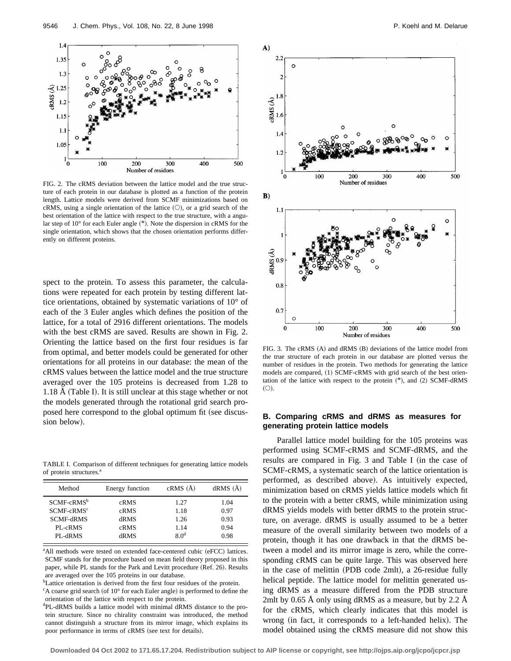9546 J. Chem. Phys., Vol. 108, No. 22, 8 June 1998 **P. Koehl and M. Delarue** P. Koehl and M. Delarue



FIG. 2. The cRMS deviation between the lattice model and the true structure of each protein in our database is plotted as a function of the protein length. Lattice models were derived from SCMF minimizations based on cRMS, using a single orientation of the lattice  $(O)$ , or a grid search of the best orientation of the lattice with respect to the true structure, with a angular step of  $10^{\circ}$  for each Euler angle  $(*)$ . Note the dispersion in cRMS for the single orientation, which shows that the chosen orientation performs differently on different proteins.

spect to the protein. To assess this parameter, the calculations were repeated for each protein by testing different lattice orientations, obtained by systematic variations of 10° of each of the 3 Euler angles which defines the position of the lattice, for a total of 2916 different orientations. The models with the best cRMS are saved. Results are shown in Fig. 2. Orienting the lattice based on the first four residues is far from optimal, and better models could be generated for other orientations for all proteins in our database: the mean of the cRMS values between the lattice model and the true structure averaged over the 105 proteins is decreased from 1.28 to  $1.18 A$  (Table I). It is still unclear at this stage whether or not the models generated through the rotational grid search proposed here correspond to the global optimum fit (see discusposed first correspond to the grobal optimum in (see discus-<br>**B. Comparing cRMS and dRMS as measures for**<br>**B. Comparing cRMS and dRMS as measures for** 

TABLE I. Comparison of different techniques for generating lattice models of protein structures.<sup>a</sup>

| Method           | Energy function | cRMS(A)         | dRMS(A) |
|------------------|-----------------|-----------------|---------|
| $SCMF-cRMSb$     | cRMS            | 1.27            | 1.04    |
| $SCMF-cRMSc$     | cRMS            | 1.18            | 0.97    |
| <b>SCMF-dRMS</b> | dRMS            | 1.26            | 0.93    |
| PL-cRMS          | cRMS            | 1.14            | 0.94    |
| PL-dRMS          | dRMS            | 80 <sup>d</sup> | 0.98    |

<sup>a</sup>All methods were tested on extended face-centered cubic (eFCC) lattices. SCMF stands for the procedure based on mean field theory proposed in this paper, while PL stands for the Park and Levitt procedure (Ref. 26). Results are averaged over the 105 proteins in our database.

<sup>b</sup>Lattice orientation is derived from the first four residues of the protein.

<sup>c</sup>A coarse grid search (of 10° for each Euler angle) is performed to define the orientation of the lattice with respect to the protein.

<sup>d</sup>PL-dRMS builds a lattice model with minimal dRMS distance to the protein structure. Since no chirality constraint was introduced, the method cannot distinguish a structure from its mirror image, which explains its poor performance in terms of cRMS (see text for details).



FIG. 3. The cRMS (A) and dRMS (B) deviations of the lattice model from the true structure of each protein in our database are plotted versus the number of residues in the protein. Two methods for generating the lattice models are compared, (1) SCMF-cRMS with grid search of the best orientation of the lattice with respect to the protein  $(*)$ , and  $(2)$  SCMF-dRMS  $(O).$ 

# **generating protein lattice models**

Parallel lattice model building for the 105 proteins was performed using SCMF-cRMS and SCMF-dRMS, and the results are compared in Fig. 3 and Table I (in the case of SCMF-cRMS, a systematic search of the lattice orientation is performed, as described above). As intuitively expected, minimization based on cRMS yields lattice models which fit to the protein with a better cRMS, while minimization using dRMS yields models with better dRMS to the protein structure, on average. dRMS is usually assumed to be a better measure of the overall similarity between two models of a protein, though it has one drawback in that the dRMS between a model and its mirror image is zero, while the corresponding cRMS can be quite large. This was observed here in the case of melittin  $(PDB \text{ code } 2mlt)$ , a 26-residue fully helical peptide. The lattice model for melittin generated using dRMS as a measure differed from the PDB structure 2mlt by 0.65 Å only using dRMS as a measure, but by 2.2 Å for the cRMS, which clearly indicates that this model is wrong (in fact, it corresponds to a left-handed helix). The model obtained using the cRMS measure did not show this

**Downloaded 04 Oct 2002 to 171.65.17.204. Redistribution subject to AIP license or copyright, see http://ojps.aip.org/jcpo/jcpcr.jsp**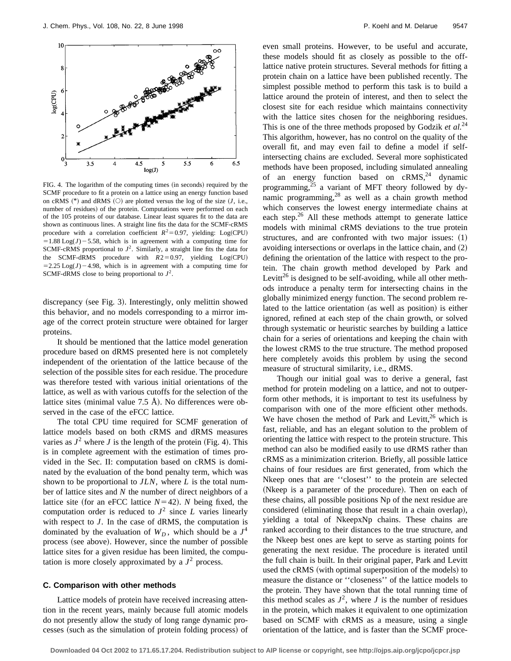

FIG. 4. The logarithm of the computing times (in seconds) required by the SCMF procedure to fit a protein on a lattice using an energy function based on cRMS  $(*)$  and dRMS  $(\circ)$  are plotted versus the log of the size  $(J, i.e.,$ number of residues) of the protein. Computations were performed on each of the 105 proteins of our database. Linear least squares fit to the data are shown as continuous lines. A straight line fits the data for the SCMF-cRMS procedure with a correlation coefficient  $R^2=0.97$ , yielding: Log(CPU)  $=1.88 \text{ Log}(J) - 5.58$ , which is in agreement with a computing time for SCMF-cRMS proportional to  $J^2$ . Similarly, a straight line fits the data for the SCMF-dRMS procedure with  $R2=0.97$ , yielding Log(CPU)  $=2.25 \text{Log}(J) - 4.98$ , which is in agreement with a computing time for SCMF-dRMS close to being proportional to  $J^2$ .

discrepancy (see Fig. 3). Interestingly, only melittin showed this behavior, and no models corresponding to a mirror image of the correct protein structure were obtained for larger proteins.

It should be mentioned that the lattice model generation procedure based on dRMS presented here is not completely independent of the orientation of the lattice because of the selection of the possible sites for each residue. The procedure was therefore tested with various initial orientations of the lattice, as well as with various cutoffs for the selection of the lattice sites (minimal value  $7.5$  Å). No differences were observed in the case of the eFCC lattice.

The total CPU time required for SCMF generation of lattice models based on both cRMS and dRMS measures varies as  $J^2$  where *J* is the length of the protein (Fig. 4). This is in complete agreement with the estimation of times provided in the Sec. II: computation based on cRMS is dominated by the evaluation of the bond penalty term, which was shown to be proportional to *JLN*, where *L* is the total number of lattice sites and *N* the number of direct neighbors of a lattice site (for an eFCC lattice  $N=42$ ). *N* being fixed, the computation order is reduced to  $J^2$  since *L* varies linearly with respect to *J*. In the case of dRMS, the computation is dominated by the evaluation of  $W_D$ , which should be a  $J^4$ process (see above). However, since the number of possible lattice sites for a given residue has been limited, the computation is more closely approximated by a  $J^2$  process.

#### **C. Comparison with other methods**

Lattice models of protein have received increasing attention in the recent years, mainly because full atomic models do not presently allow the study of long range dynamic processes (such as the simulation of protein folding process) of even small proteins. However, to be useful and accurate, these models should fit as closely as possible to the offlattice native protein structures. Several methods for fitting a protein chain on a lattice have been published recently. The simplest possible method to perform this task is to build a lattice around the protein of interest, and then to select the closest site for each residue which maintains connectivity with the lattice sites chosen for the neighboring residues. This is one of the three methods proposed by Godzik *et al.*<sup>24</sup> This algorithm, however, has no control on the quality of the overall fit, and may even fail to define a model if selfintersecting chains are excluded. Several more sophisticated methods have been proposed, including simulated annealing of an energy function based on  $cRMS$ ,<sup>24</sup> dynamic programming,<sup>25</sup> a variant of MFT theory followed by dynamic programming, $28$  as well as a chain growth method which conserves the lowest energy intermediate chains at each step.<sup>26</sup> All these methods attempt to generate lattice models with minimal cRMS deviations to the true protein structures, and are confronted with two major issues:  $(1)$ avoiding intersections or overlaps in the lattice chain, and  $(2)$ defining the orientation of the lattice with respect to the protein. The chain growth method developed by Park and Levitt<sup>26</sup> is designed to be self-avoiding, while all other methods introduce a penalty term for intersecting chains in the globally minimized energy function. The second problem related to the lattice orientation (as well as position) is either ignored, refined at each step of the chain growth, or solved through systematic or heuristic searches by building a lattice chain for a series of orientations and keeping the chain with the lowest cRMS to the true structure. The method proposed here completely avoids this problem by using the second measure of structural similarity, i.e., dRMS.

Though our initial goal was to derive a general, fast method for protein modeling on a lattice, and not to outperform other methods, it is important to test its usefulness by comparison with one of the more efficient other methods. We have chosen the method of Park and Levitt, $26$  which is fast, reliable, and has an elegant solution to the problem of orienting the lattice with respect to the protein structure. This method can also be modified easily to use dRMS rather than cRMS as a minimization criterion. Briefly, all possible lattice chains of four residues are first generated, from which the Nkeep ones that are ''closest'' to the protein are selected (Nkeep is a parameter of the procedure). Then on each of these chains, all possible positions Np of the next residue are considered (eliminating those that result in a chain overlap), yielding a total of NkeepxNp chains. These chains are ranked according to their distances to the true structure, and the Nkeep best ones are kept to serve as starting points for generating the next residue. The procedure is iterated until the full chain is built. In their original paper, Park and Levitt used the cRMS (with optimal superposition of the models) to measure the distance or ''closeness'' of the lattice models to the protein. They have shown that the total running time of this method scales as  $J^2$ , where *J* is the number of residues in the protein, which makes it equivalent to one optimization based on SCMF with cRMS as a measure, using a single orientation of the lattice, and is faster than the SCMF proce-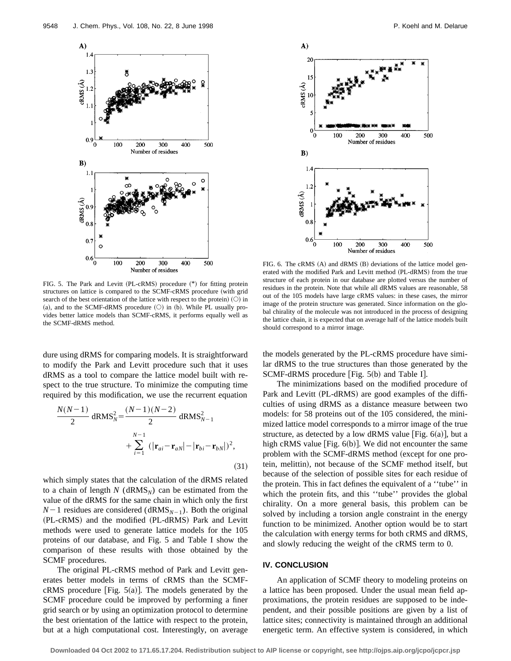

FIG. 5. The Park and Levitt (PL-cRMS) procedure (\*) for fitting protein structures on lattice is compared to the SCMF-cRMS procedure (with grid search of the best orientation of the lattice with respect to the protein)  $(O)$  in (a), and to the SCMF-dRMS procedure  $(O)$  in (b). While PL usually provides better lattice models than SCMF-cRMS, it performs equally well as the SCMF-dRMS method.

dure using dRMS for comparing models. It is straightforward to modify the Park and Levitt procedure such that it uses dRMS as a tool to compare the lattice model built with respect to the true structure. To minimize the computing time required by this modification, we use the recurrent equation

$$
\frac{N(N-1)}{2} \, \mathrm{dRMS}_N^2 = \frac{(N-1)(N-2)}{2} \, \mathrm{dRMS}_{N-1}^2 + \sum_{i=1}^{N-1} \, (|\mathbf{r}_{ai} - \mathbf{r}_{aN}| - |\mathbf{r}_{bi} - \mathbf{r}_{bN}|)^2,
$$
\n(31)

which simply states that the calculation of the dRMS related to a chain of length  $N$  ( $dRMS_N$ ) can be estimated from the value of the dRMS for the same chain in which only the first  $N-1$  residues are considered (dRMS<sub>N-1</sub>). Both the original (PL-cRMS) and the modified (PL-dRMS) Park and Levitt methods were used to generate lattice models for the 105 proteins of our database, and Fig. 5 and Table I show the comparison of these results with those obtained by the SCMF procedures.

The original PL-cRMS method of Park and Levitt generates better models in terms of cRMS than the SCMFcRMS procedure [Fig.  $5(a)$ ]. The models generated by the SCMF procedure could be improved by performing a finer grid search or by using an optimization protocol to determine the best orientation of the lattice with respect to the protein, but at a high computational cost. Interestingly, on average



FIG. 6. The cRMS  $(A)$  and dRMS  $(B)$  deviations of the lattice model generated with the modified Park and Levitt method (PL-dRMS) from the true structure of each protein in our database are plotted versus the number of residues in the protein. Note that while all dRMS values are reasonable, 58 out of the 105 models have large cRMS values: in these cases, the mirror image of the protein structure was generated. Since information on the global chirality of the molecule was not introduced in the process of designing the lattice chain, it is expected that on average half of the lattice models built should correspond to a mirror image.

the models generated by the PL-cRMS procedure have similar dRMS to the true structures than those generated by the SCMF-dRMS procedure [Fig.  $5(b)$  and Table I].

The minimizations based on the modified procedure of Park and Levitt (PL-dRMS) are good examples of the difficulties of using dRMS as a distance measure between two models: for 58 proteins out of the 105 considered, the minimized lattice model corresponds to a mirror image of the true structure, as detected by a low dRMS value [Fig.  $6(a)$ ], but a high cRMS value [Fig.  $6(b)$ ]. We did not encounter the same problem with the SCMF-dRMS method (except for one protein, melittin), not because of the SCMF method itself, but because of the selection of possible sites for each residue of the protein. This in fact defines the equivalent of a ''tube'' in which the protein fits, and this "tube" provides the global chirality. On a more general basis, this problem can be solved by including a torsion angle constraint in the energy function to be minimized. Another option would be to start the calculation with energy terms for both cRMS and dRMS, and slowly reducing the weight of the cRMS term to 0.

#### **IV. CONCLUSION**

An application of SCMF theory to modeling proteins on a lattice has been proposed. Under the usual mean field approximations, the protein residues are supposed to be independent, and their possible positions are given by a list of lattice sites; connectivity is maintained through an additional energetic term. An effective system is considered, in which